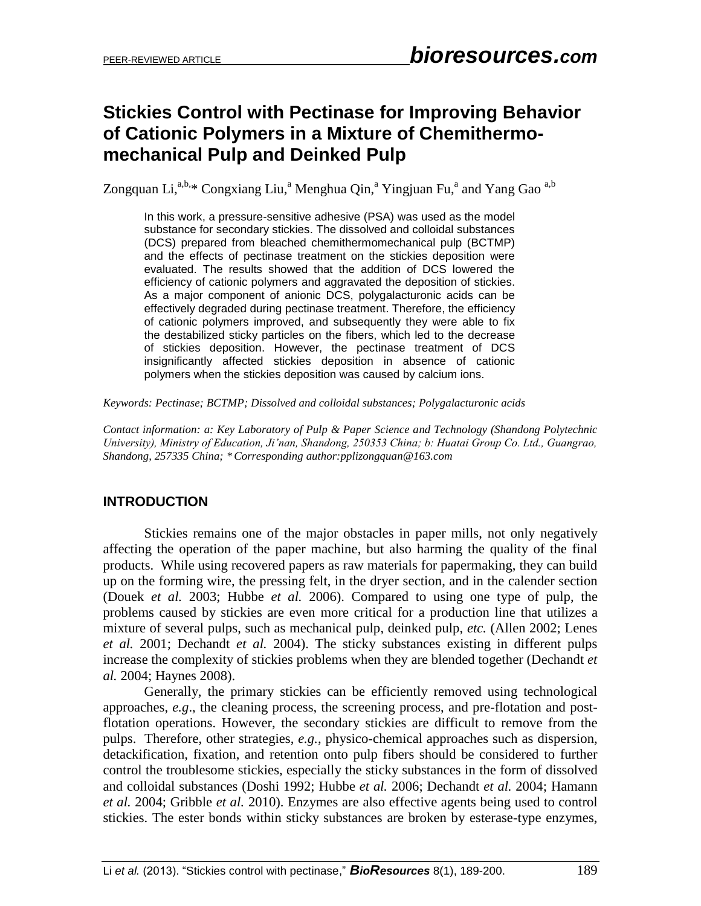# **Stickies Control with Pectinase for Improving Behavior of Cationic Polymers in a Mixture of Chemithermomechanical Pulp and Deinked Pulp**

Zongquan Li,<sup>a,b,\*</sup> Congxiang Liu,<sup>a</sup> Menghua Qin,<sup>a</sup> Yingjuan Fu,<sup>a</sup> and Yang Gao<sup>a,b</sup>

In this work, a pressure-sensitive adhesive (PSA) was used as the model substance for secondary stickies. The dissolved and colloidal substances (DCS) prepared from bleached chemithermomechanical pulp (BCTMP) and the effects of pectinase treatment on the stickies deposition were evaluated. The results showed that the addition of DCS lowered the efficiency of cationic polymers and aggravated the deposition of stickies. As a major component of anionic DCS, polygalacturonic acids can be effectively degraded during pectinase treatment. Therefore, the efficiency of cationic polymers improved, and subsequently they were able to fix the destabilized sticky particles on the fibers, which led to the decrease of stickies deposition. However, the pectinase treatment of DCS insignificantly affected stickies deposition in absence of cationic polymers when the stickies deposition was caused by calcium ions.

*Keywords: Pectinase; BCTMP; Dissolved and colloidal substances; Polygalacturonic acids*

*Contact information: a: Key Laboratory of Pulp & Paper Science and Technology (Shandong Polytechnic University), Ministry of Education, Ji'nan, Shandong, 250353 China; b: Huatai Group Co. Ltd., Guangrao, Shandong, 257335 China; \*Corresponding author:pplizongquan@163.com*

## **INTRODUCTION**

Stickies remains one of the major obstacles in paper mills, not only negatively affecting the operation of the paper machine, but also harming the quality of the final products. While using recovered papers as raw materials for papermaking, they can build up on the forming wire, the pressing felt, in the dryer section, and in the calender section (Douek *et al.* 2003; Hubbe *et al.* 2006). Compared to using one type of pulp, the problems caused by stickies are even more critical for a production line that utilizes a mixture of several pulps, such as mechanical pulp, deinked pulp, *etc.* (Allen 2002; Lenes *et al.* 2001; Dechandt *et al.* 2004). The sticky substances existing in different pulps increase the complexity of stickies problems when they are blended together (Dechandt *et al.* 2004; Haynes 2008).

Generally, the primary stickies can be efficiently removed using technological approaches, *e.g*., the cleaning process, the screening process, and pre-flotation and postflotation operations. However, the secondary stickies are difficult to remove from the pulps. Therefore, other strategies, *e.g.*, physico-chemical approaches such as dispersion, detackification, fixation, and retention onto pulp fibers should be considered to further control the troublesome stickies, especially the sticky substances in the form of dissolved and colloidal substances (Doshi 1992; Hubbe *et al.* 2006; Dechandt *et al.* 2004; Hamann *et al.* 2004; Gribble *et al.* 2010). Enzymes are also effective agents being used to control stickies. The ester bonds within sticky substances are broken by esterase-type enzymes,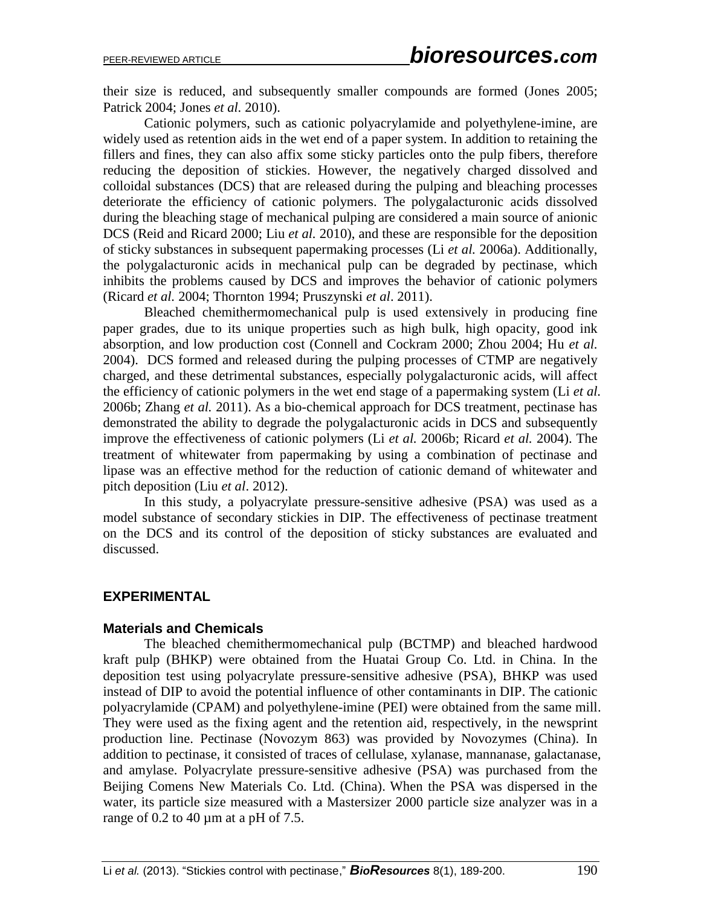their size is reduced, and subsequently smaller compounds are formed (Jones 2005; Patrick 2004; Jones *et al.* 2010).

Cationic polymers, such as cationic polyacrylamide and polyethylene-imine, are widely used as retention aids in the wet end of a paper system. In addition to retaining the fillers and fines, they can also affix some sticky particles onto the pulp fibers, therefore reducing the deposition of stickies. However, the negatively charged dissolved and colloidal substances (DCS) that are released during the pulping and bleaching processes deteriorate the efficiency of cationic polymers. The polygalacturonic acids dissolved during the bleaching stage of mechanical pulping are considered a main source of anionic DCS (Reid and Ricard 2000; Liu *et al.* 2010), and these are responsible for the deposition of sticky substances in subsequent papermaking processes (Li *et al.* 2006a). Additionally, the polygalacturonic acids in mechanical pulp can be degraded by pectinase, which inhibits the problems caused by DCS and improves the behavior of cationic polymers (Ricard *et al.* 2004; Thornton 1994; Pruszynski *et al*. 2011).

Bleached chemithermomechanical pulp is used extensively in producing fine paper grades, due to its unique properties such as high bulk, high opacity, good ink absorption, and low production cost (Connell and Cockram 2000; Zhou 2004; Hu *et al.* 2004). DCS formed and released during the pulping processes of CTMP are negatively charged, and these detrimental substances, especially polygalacturonic acids, will affect the efficiency of cationic polymers in the wet end stage of a papermaking system (Li *et al.* 2006b; Zhang *et al.* 2011). As a bio-chemical approach for DCS treatment, pectinase has demonstrated the ability to degrade the polygalacturonic acids in DCS and subsequently improve the effectiveness of cationic polymers (Li *et al.* 2006b; Ricard *et al.* 2004). The treatment of whitewater from papermaking by using a combination of pectinase and lipase was an effective method for the reduction of cationic demand of whitewater and pitch deposition (Liu *et al*. 2012).

In this study, a polyacrylate pressure-sensitive adhesive (PSA) was used as a model substance of secondary stickies in DIP. The effectiveness of pectinase treatment on the DCS and its control of the deposition of sticky substances are evaluated and discussed.

## **EXPERIMENTAL**

#### **Materials and Chemicals**

The bleached chemithermomechanical pulp (BCTMP) and bleached hardwood kraft pulp (BHKP) were obtained from the Huatai Group Co. Ltd. in China. In the deposition test using polyacrylate pressure-sensitive adhesive (PSA), BHKP was used instead of DIP to avoid the potential influence of other contaminants in DIP. The cationic polyacrylamide (CPAM) and polyethylene-imine (PEI) were obtained from the same mill. They were used as the fixing agent and the retention aid, respectively, in the newsprint production line. Pectinase (Novozym 863) was provided by Novozymes (China). In addition to pectinase, it consisted of traces of cellulase, xylanase, mannanase, galactanase, and amylase. Polyacrylate pressure-sensitive adhesive (PSA) was purchased from the Beijing Comens New Materials Co. Ltd. (China). When the PSA was dispersed in the water, its particle size measured with a Mastersizer 2000 particle size analyzer was in a range of  $0.2$  to  $40 \mu m$  at a pH of 7.5.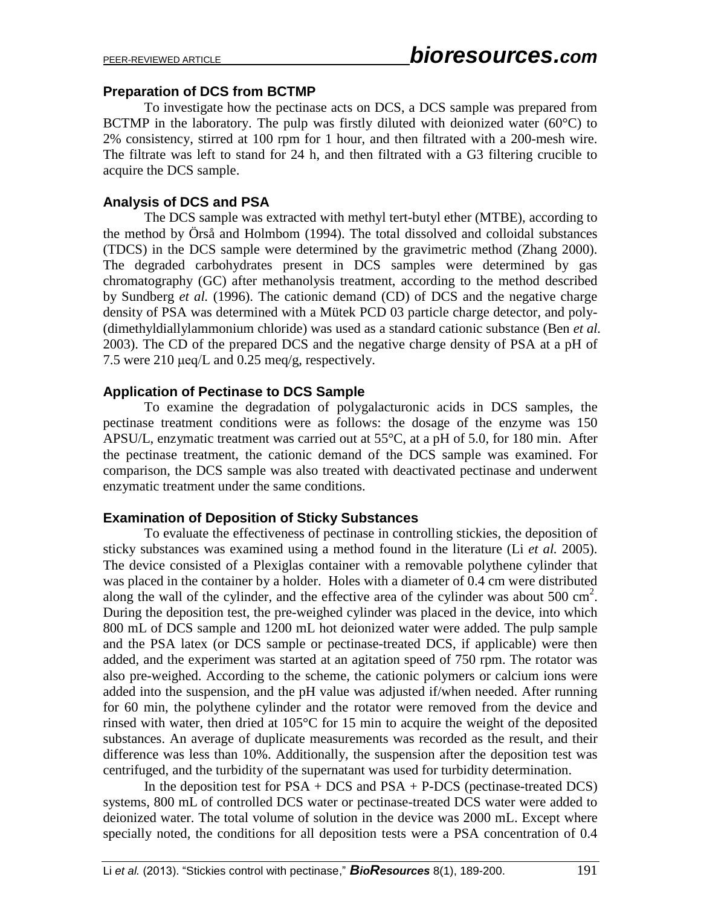## **Preparation of DCS from BCTMP**

To investigate how the pectinase acts on DCS, a DCS sample was prepared from BCTMP in the laboratory. The pulp was firstly diluted with deionized water  $(60^{\circ}C)$  to 2% consistency, stirred at 100 rpm for 1 hour, and then filtrated with a 200-mesh wire. The filtrate was left to stand for 24 h, and then filtrated with a G3 filtering crucible to acquire the DCS sample.

# **Analysis of DCS and PSA**

The DCS sample was extracted with methyl tert-butyl ether (MTBE), according to the method by Örså and Holmbom (1994). The total dissolved and colloidal substances (TDCS) in the DCS sample were determined by the gravimetric method (Zhang 2000). The degraded carbohydrates present in DCS samples were determined by gas chromatography (GC) after methanolysis treatment, according to the method described by Sundberg *et al.* (1996). The cationic demand (CD) of DCS and the negative charge density of PSA was determined with a Mütek PCD 03 particle charge detector, and poly- (dimethyldiallylammonium chloride) was used as a standard cationic substance (Ben *et al.* 2003). The CD of the prepared DCS and the negative charge density of PSA at a pH of 7.5 were 210 μeq/L and 0.25 meq/g, respectively.

# **Application of Pectinase to DCS Sample**

To examine the degradation of polygalacturonic acids in DCS samples, the pectinase treatment conditions were as follows: the dosage of the enzyme was 150 APSU/L, enzymatic treatment was carried out at 55°C, at a pH of 5.0, for 180 min. After the pectinase treatment, the cationic demand of the DCS sample was examined. For comparison, the DCS sample was also treated with deactivated pectinase and underwent enzymatic treatment under the same conditions.

## **Examination of Deposition of Sticky Substances**

To evaluate the effectiveness of pectinase in controlling stickies, the deposition of sticky substances was examined using a method found in the literature (Li *et al.* 2005). The device consisted of a Plexiglas container with a removable polythene cylinder that was placed in the container by a holder. Holes with a diameter of 0.4 cm were distributed along the wall of the cylinder, and the effective area of the cylinder was about 500  $\text{cm}^2$ . During the deposition test, the pre-weighed cylinder was placed in the device, into which 800 mL of DCS sample and 1200 mL hot deionized water were added. The pulp sample and the PSA latex (or DCS sample or pectinase-treated DCS, if applicable) were then added, and the experiment was started at an agitation speed of 750 rpm. The rotator was also pre-weighed. According to the scheme, the cationic polymers or calcium ions were added into the suspension, and the pH value was adjusted if/when needed. After running for 60 min, the polythene cylinder and the rotator were removed from the device and rinsed with water, then dried at 105°C for 15 min to acquire the weight of the deposited substances. An average of duplicate measurements was recorded as the result, and their difference was less than 10%. Additionally, the suspension after the deposition test was centrifuged, and the turbidity of the supernatant was used for turbidity determination.

In the deposition test for  $PSA + DCS$  and  $PSA + P-DCS$  (pectinase-treated DCS) systems, 800 mL of controlled DCS water or pectinase-treated DCS water were added to deionized water. The total volume of solution in the device was 2000 mL. Except where specially noted, the conditions for all deposition tests were a PSA concentration of 0.4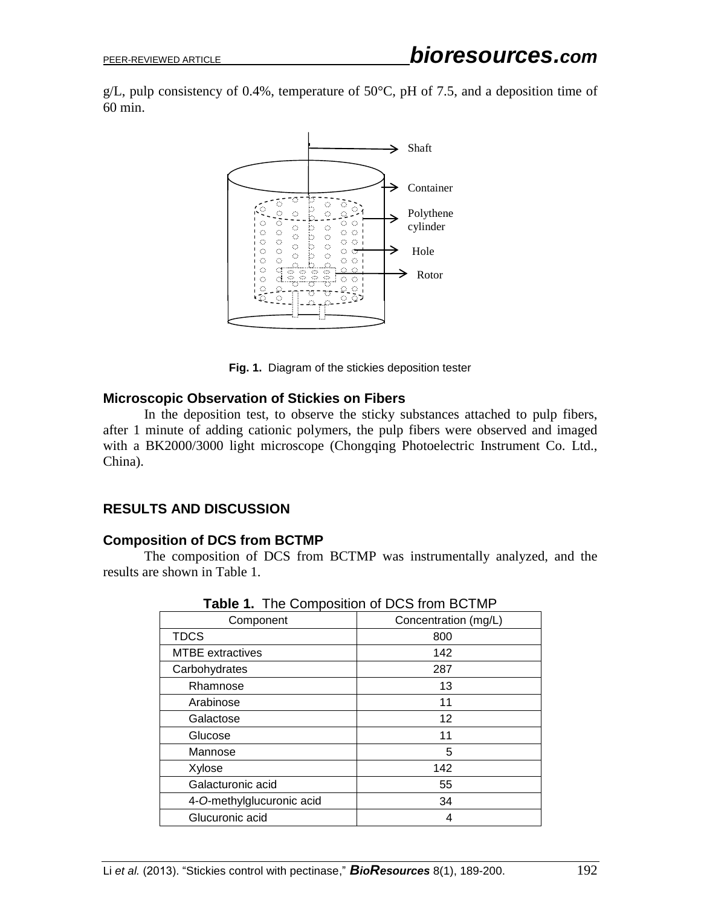g/L, pulp consistency of 0.4%, temperature of 50 $\degree$ C, pH of 7.5, and a deposition time of 60 min.



**Fig. 1.** Diagram of the stickies deposition tester

#### **Microscopic Observation of Stickies on Fibers**

In the deposition test, to observe the sticky substances attached to pulp fibers, after 1 minute of adding cationic polymers, the pulp fibers were observed and imaged with a BK2000/3000 light microscope (Chongqing Photoelectric Instrument Co. Ltd., China).

## **RESULTS AND DISCUSSION**

#### **Composition of DCS from BCTMP**

The composition of DCS from BCTMP was instrumentally analyzed, and the results are shown in Table 1.

| ------                    |                      |
|---------------------------|----------------------|
| Component                 | Concentration (mg/L) |
| <b>TDCS</b>               | 800                  |
| <b>MTBE</b> extractives   | 142                  |
| Carbohydrates             | 287                  |
| Rhamnose                  | 13                   |
| Arabinose                 | 11                   |
| Galactose                 | 12                   |
| Glucose                   | 11                   |
| Mannose                   | 5                    |
| Xylose                    | 142                  |
| Galacturonic acid         | 55                   |
| 4-O-methylglucuronic acid | 34                   |
| Glucuronic acid           |                      |

**Table 1.** The Composition of DCS from BCTMP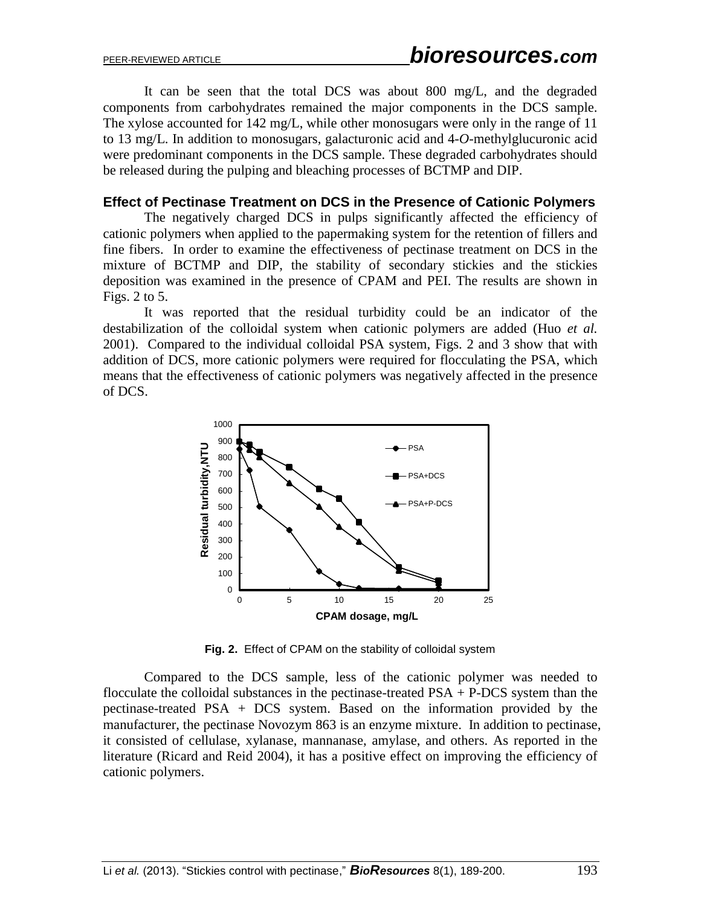It can be seen that the total DCS was about 800 mg/L, and the degraded components from carbohydrates remained the major components in the DCS sample. The xylose accounted for 142 mg/L, while other monosugars were only in the range of 11 to 13 mg/L. In addition to monosugars, galacturonic acid and 4-*O*-methylglucuronic acid were predominant components in the DCS sample. These degraded carbohydrates should be released during the pulping and bleaching processes of BCTMP and DIP.

#### **Effect of Pectinase Treatment on DCS in the Presence of Cationic Polymers**

The negatively charged DCS in pulps significantly affected the efficiency of cationic polymers when applied to the papermaking system for the retention of fillers and fine fibers. In order to examine the effectiveness of pectinase treatment on DCS in the mixture of BCTMP and DIP, the stability of secondary stickies and the stickies deposition was examined in the presence of CPAM and PEI. The results are shown in Figs. 2 to 5.

It was reported that the residual turbidity could be an indicator of the destabilization of the colloidal system when cationic polymers are added (Huo *et al.* 2001). Compared to the individual colloidal PSA system, Figs. 2 and 3 show that with addition of DCS, more cationic polymers were required for flocculating the PSA, which means that the effectiveness of cationic polymers was negatively affected in the presence of DCS.



**Fig. 2.** Effect of CPAM on the stability of colloidal system

Compared to the DCS sample, less of the cationic polymer was needed to flocculate the colloidal substances in the pectinase-treated  $PSA + P-DCS$  system than the pectinase-treated PSA + DCS system. Based on the information provided by the manufacturer, the pectinase Novozym 863 is an enzyme mixture. In addition to pectinase, it consisted of cellulase, xylanase, mannanase, amylase, and others. As reported in the literature (Ricard and Reid 2004), it has a positive effect on improving the efficiency of cationic polymers.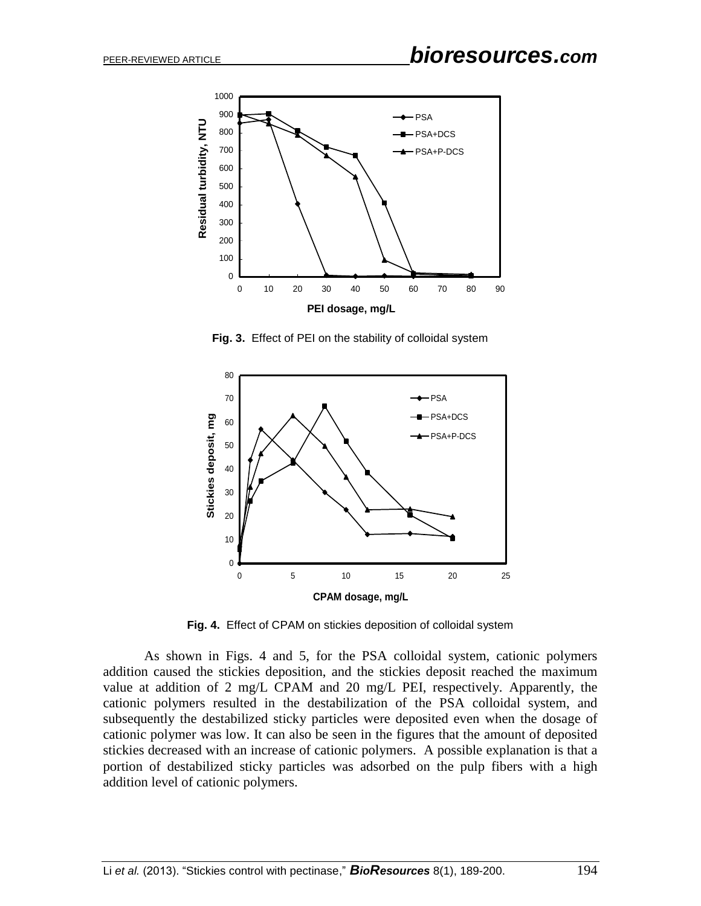

**Fig. 3.** Effect of PEI on the stability of colloidal system



**Fig. 4.** Effect of CPAM on stickies deposition of colloidal system

As shown in Figs. 4 and 5, for the PSA colloidal system, cationic polymers addition caused the stickies deposition, and the stickies deposit reached the maximum value at addition of 2 mg/L CPAM and 20 mg/L PEI, respectively. Apparently, the cationic polymers resulted in the destabilization of the PSA colloidal system, and subsequently the destabilized sticky particles were deposited even when the dosage of cationic polymer was low. It can also be seen in the figures that the amount of deposited stickies decreased with an increase of cationic polymers. A possible explanation is that a portion of destabilized sticky particles was adsorbed on the pulp fibers with a high addition level of cationic polymers.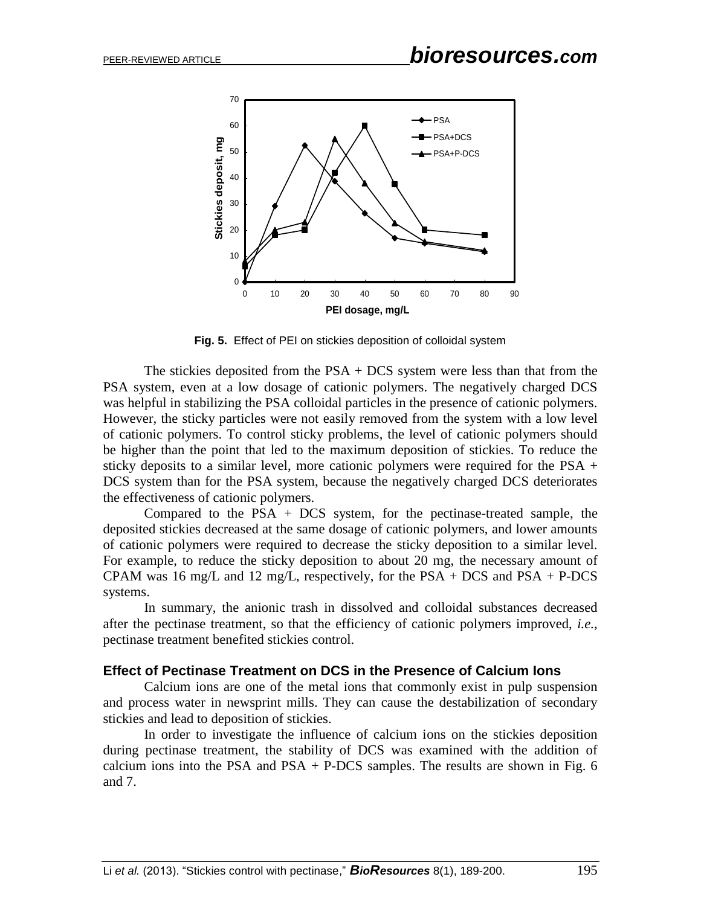

**Fig. 5.** Effect of PEI on stickies deposition of colloidal system

The stickies deposited from the  $PSA + DCS$  system were less than that from the PSA system, even at a low dosage of cationic polymers. The negatively charged DCS was helpful in stabilizing the PSA colloidal particles in the presence of cationic polymers. However, the sticky particles were not easily removed from the system with a low level of cationic polymers. To control sticky problems, the level of cationic polymers should be higher than the point that led to the maximum deposition of stickies. To reduce the sticky deposits to a similar level, more cationic polymers were required for the PSA + DCS system than for the PSA system, because the negatively charged DCS deteriorates the effectiveness of cationic polymers.

Compared to the  $PSA + DCS$  system, for the pectinase-treated sample, the deposited stickies decreased at the same dosage of cationic polymers, and lower amounts of cationic polymers were required to decrease the sticky deposition to a similar level. For example, to reduce the sticky deposition to about 20 mg, the necessary amount of CPAM was 16 mg/L and 12 mg/L, respectively, for the  $PSA + DCS$  and  $PSA + P-DCS$ systems.

In summary, the anionic trash in dissolved and colloidal substances decreased after the pectinase treatment, so that the efficiency of cationic polymers improved, *i.e.*, pectinase treatment benefited stickies control.

#### **Effect of Pectinase Treatment on DCS in the Presence of Calcium Ions**

Calcium ions are one of the metal ions that commonly exist in pulp suspension and process water in newsprint mills. They can cause the destabilization of secondary stickies and lead to deposition of stickies.

In order to investigate the influence of calcium ions on the stickies deposition during pectinase treatment, the stability of DCS was examined with the addition of calcium ions into the PSA and PSA + P-DCS samples. The results are shown in Fig.  $6$ and 7.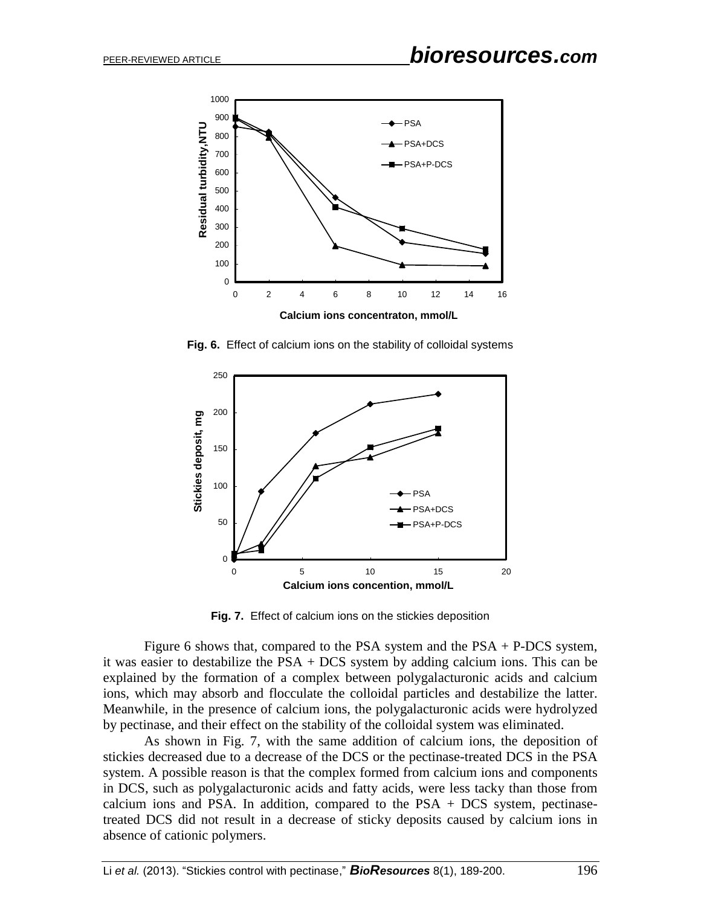

**Fig. 6.** Effect of calcium ions on the stability of colloidal systems



**Fig. 7.** Effect of calcium ions on the stickies deposition

Figure 6 shows that, compared to the PSA system and the PSA + P-DCS system, it was easier to destabilize the PSA + DCS system by adding calcium ions. This can be explained by the formation of a complex between polygalacturonic acids and calcium ions, which may absorb and flocculate the colloidal particles and destabilize the latter. Meanwhile, in the presence of calcium ions, the polygalacturonic acids were hydrolyzed by pectinase, and their effect on the stability of the colloidal system was eliminated.

As shown in Fig. 7, with the same addition of calcium ions, the deposition of stickies decreased due to a decrease of the DCS or the pectinase-treated DCS in the PSA system. A possible reason is that the complex formed from calcium ions and components in DCS, such as polygalacturonic acids and fatty acids, were less tacky than those from calcium ions and PSA. In addition, compared to the  $PSA + DCS$  system, pectinasetreated DCS did not result in a decrease of sticky deposits caused by calcium ions in absence of cationic polymers.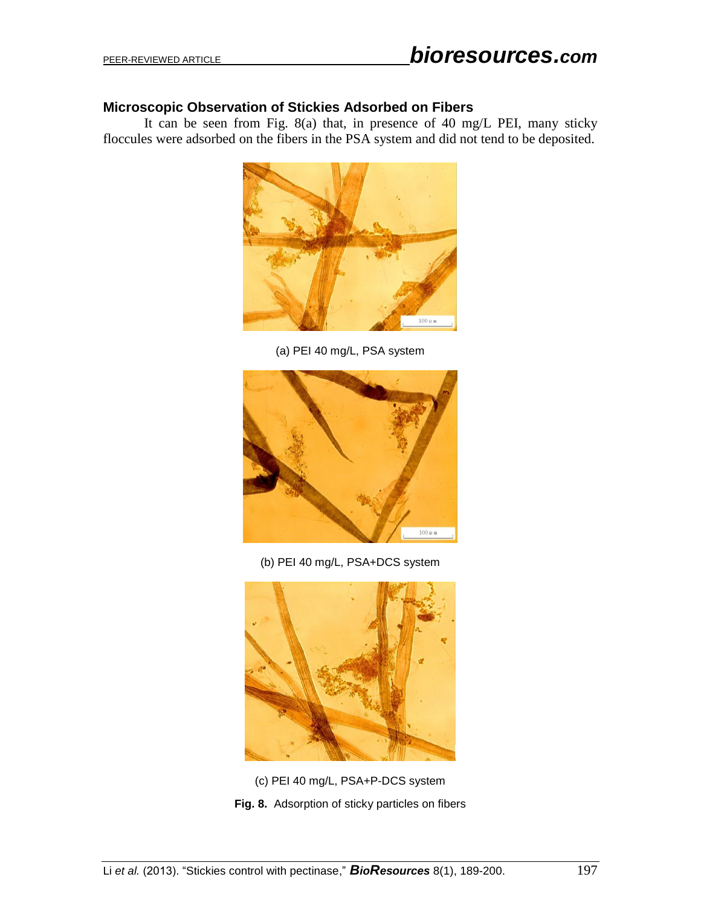## **Microscopic Observation of Stickies Adsorbed on Fibers**

It can be seen from Fig. 8(a) that, in presence of 40 mg/L PEI, many sticky floccules were adsorbed on the fibers in the PSA system and did not tend to be deposited.



(a) PEI 40 mg/L, PSA system



(b) PEI 40 mg/L, PSA+DCS system



(c) PEI 40 mg/L, PSA+P-DCS system **Fig. 8.** Adsorption of sticky particles on fibers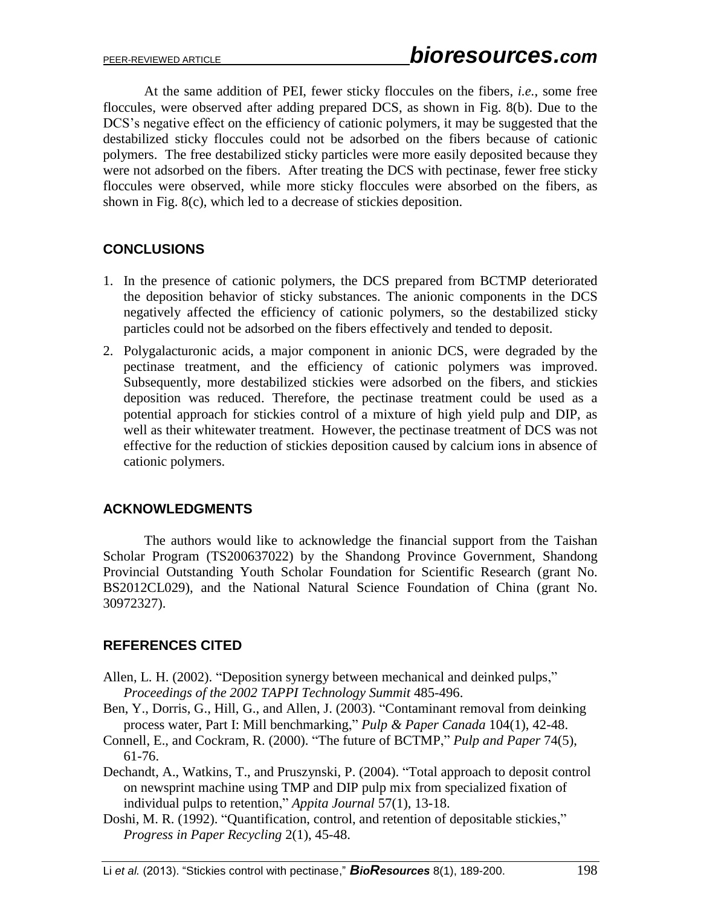At the same addition of PEI, fewer sticky floccules on the fibers, *i.e.*, some free floccules, were observed after adding prepared DCS, as shown in Fig. 8(b). Due to the DCS's negative effect on the efficiency of cationic polymers, it may be suggested that the destabilized sticky floccules could not be adsorbed on the fibers because of cationic polymers. The free destabilized sticky particles were more easily deposited because they were not adsorbed on the fibers. After treating the DCS with pectinase, fewer free sticky floccules were observed, while more sticky floccules were absorbed on the fibers, as shown in Fig. 8(c), which led to a decrease of stickies deposition.

# **CONCLUSIONS**

- 1. In the presence of cationic polymers, the DCS prepared from BCTMP deteriorated the deposition behavior of sticky substances. The anionic components in the DCS negatively affected the efficiency of cationic polymers, so the destabilized sticky particles could not be adsorbed on the fibers effectively and tended to deposit.
- 2. Polygalacturonic acids, a major component in anionic DCS, were degraded by the pectinase treatment, and the efficiency of cationic polymers was improved. Subsequently, more destabilized stickies were adsorbed on the fibers, and stickies deposition was reduced. Therefore, the pectinase treatment could be used as a potential approach for stickies control of a mixture of high yield pulp and DIP, as well as their whitewater treatment. However, the pectinase treatment of DCS was not effective for the reduction of stickies deposition caused by calcium ions in absence of cationic polymers.

## **ACKNOWLEDGMENTS**

The authors would like to acknowledge the financial support from the Taishan Scholar Program (TS200637022) by the Shandong Province Government, Shandong Provincial Outstanding Youth Scholar Foundation for Scientific Research (grant No. BS2012CL029), and the National Natural Science Foundation of China (grant No. 30972327).

## **REFERENCES CITED**

- Allen, L. H. (2002). "Deposition synergy between mechanical and deinked pulps," *Proceedings of the 2002 TAPPI Technology Summit* 485-496.
- Ben, Y., Dorris, G., Hill, G., and Allen, J. (2003). "Contaminant removal from deinking process water, Part I: Mill benchmarking," *Pulp & Paper Canada* 104(1), 42-48.
- Connell, E., and Cockram, R. (2000). "The future of BCTMP," *Pulp and Paper* 74(5), 61-76.
- Dechandt, A., Watkins, T., and Pruszynski, P. (2004). "Total approach to deposit control on newsprint machine using TMP and DIP pulp mix from specialized fixation of individual pulps to retention," *Appita Journal* 57(1), 13-18.
- Doshi, M. R. (1992). "Quantification, control, and retention of depositable stickies," *Progress in Paper Recycling* 2(1), 45-48.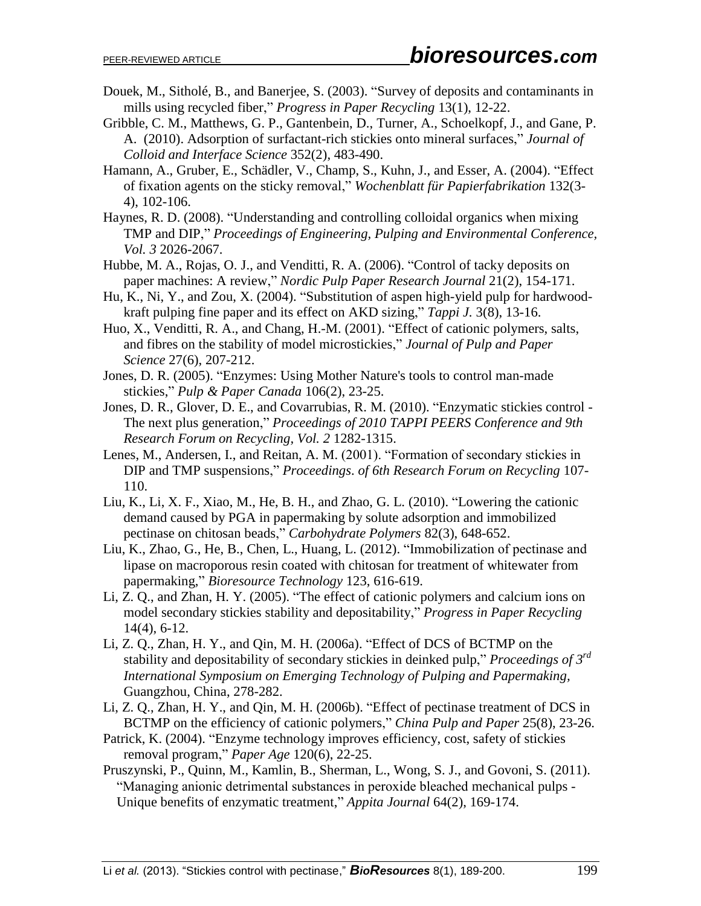- Douek, M., Sitholé, B., and Banerjee, S. (2003). "Survey of deposits and contaminants in mills using recycled fiber," *Progress in Paper Recycling* 13(1), 12-22.
- Gribble, C. M., Matthews, G. P., Gantenbein, D., Turner, A., Schoelkopf, J., and Gane, P. A. (2010). Adsorption of surfactant-rich stickies onto mineral surfaces," *Journal of Colloid and Interface Science* 352(2), 483-490.
- Hamann, A., Gruber, E., Schädler, V., Champ, S., Kuhn, J., and Esser, A. (2004). "Effect of fixation agents on the sticky removal," *Wochenblatt für Papierfabrikation* 132(3- 4), 102-106.
- Haynes, R. D. (2008). "Understanding and controlling colloidal organics when mixing TMP and DIP," *Proceedings of Engineering, Pulping and Environmental Conference, Vol. 3* 2026-2067.
- Hubbe, M. A., Rojas, O. J., and Venditti, R. A. (2006). "Control of tacky deposits on paper machines: A review," *Nordic Pulp Paper Research Journal* 21(2), 154-171.
- Hu, K., Ni, Y., and Zou, X. (2004). "Substitution of aspen high-yield pulp for hardwoodkraft pulping fine paper and its effect on AKD sizing," *Tappi J.* 3(8), 13-16.
- Huo, X., Venditti, R. A., and Chang, H.-M. (2001). "Effect of cationic polymers, salts, and fibres on the stability of model microstickies," *Journal of Pulp and Paper Science* 27(6), 207-212.
- Jones, D. R. (2005). "Enzymes: Using Mother Nature's tools to control man-made stickies," *Pulp & Paper Canada* 106(2), 23-25.
- Jones, D. R., Glover, D. E., and Covarrubias, R. M. (2010). "Enzymatic stickies control The next plus generation," *Proceedings of 2010 TAPPI PEERS Conference and 9th Research Forum on Recycling, Vol. 2* 1282-1315.
- Lenes, M., Andersen, I., and Reitan, A. M. (2001). "Formation of secondary stickies in DIP and TMP suspensions," *Proceedings*. *of 6th Research Forum on Recycling* 107- 110.
- Liu, K., Li, X. F., Xiao, M., He, B. H., and Zhao, G. L. (2010). "Lowering the cationic demand caused by PGA in papermaking by solute adsorption and immobilized pectinase on chitosan beads," *Carbohydrate Polymers* 82(3), 648-652.
- Liu, K., Zhao, G., He, B., Chen, L., Huang, L. (2012). "Immobilization of pectinase and lipase on macroporous resin coated with chitosan for treatment of whitewater from papermaking," *Bioresource Technology* 123, 616-619.
- Li, Z. Q., and Zhan, H. Y. (2005). "The effect of cationic polymers and calcium ions on model secondary stickies stability and depositability," *Progress in Paper Recycling* 14(4), 6-12.
- Li, Z. Q., Zhan, H. Y., and Qin, M. H. (2006a). "Effect of DCS of BCTMP on the stability and depositability of secondary stickies in deinked pulp," *Proceedings of 3rd International Symposium on Emerging Technology of Pulping and Papermaking,* Guangzhou, China, 278-282.
- Li, Z. Q., Zhan, H. Y., and Qin, M. H. (2006b). "Effect of pectinase treatment of DCS in BCTMP on the efficiency of cationic polymers," *China Pulp and Paper* 25(8), 23-26.
- Patrick, K. (2004). "Enzyme technology improves efficiency, cost, safety of stickies removal program," *Paper Age* 120(6), 22-25.
- Pruszynski, P., Quinn, M., Kamlin, B., Sherman, L., Wong, S. J., and Govoni, S. (2011). "Managing anionic detrimental substances in peroxide bleached mechanical pulps - Unique benefits of enzymatic treatment," *Appita Journal* 64(2), 169-174.